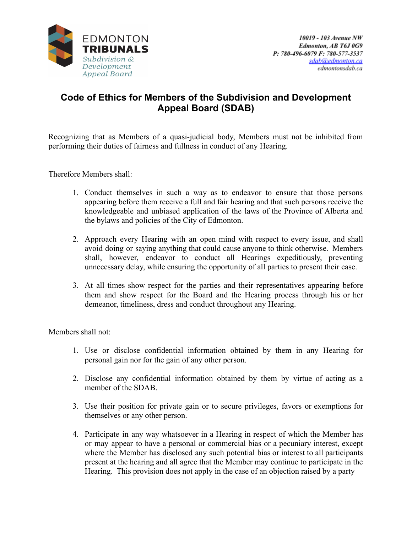

## **Code of Ethics for Members of the Subdivision and Development Appeal Board (SDAB)**

Recognizing that as Members of a quasi-judicial body, Members must not be inhibited from performing their duties of fairness and fullness in conduct of any Hearing.

Therefore Members shall:

- 1. Conduct themselves in such a way as to endeavor to ensure that those persons appearing before them receive a full and fair hearing and that such persons receive the knowledgeable and unbiased application of the laws of the Province of Alberta and the bylaws and policies of the City of Edmonton.
- 2. Approach every Hearing with an open mind with respect to every issue, and shall avoid doing or saying anything that could cause anyone to think otherwise. Members shall, however, endeavor to conduct all Hearings expeditiously, preventing unnecessary delay, while ensuring the opportunity of all parties to present their case.
- 3. At all times show respect for the parties and their representatives appearing before them and show respect for the Board and the Hearing process through his or her demeanor, timeliness, dress and conduct throughout any Hearing.

Members shall not:

- 1. Use or disclose confidential information obtained by them in any Hearing for personal gain nor for the gain of any other person.
- 2. Disclose any confidential information obtained by them by virtue of acting as a member of the SDAB.
- 3. Use their position for private gain or to secure privileges, favors or exemptions for themselves or any other person.
- 4. Participate in any way whatsoever in a Hearing in respect of which the Member has or may appear to have a personal or commercial bias or a pecuniary interest, except where the Member has disclosed any such potential bias or interest to all participants present at the hearing and all agree that the Member may continue to participate in the Hearing. This provision does not apply in the case of an objection raised by a party